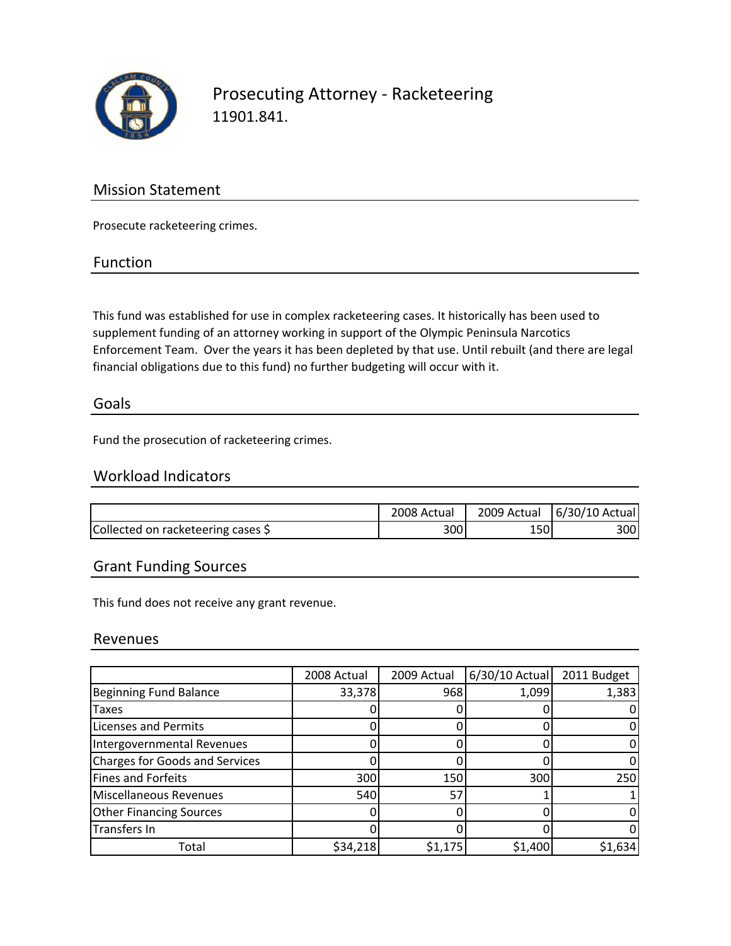

Prosecuting Attorney ‐ Racketeering 11901.841.

## Mission Statement

Prosecute racketeering crimes.

### Function

This fund was established for use in complex racketeering cases. It historically has been used to supplement funding of an attorney working in support of the Olympic Peninsula Narcotics Enforcement Team. Over the years it has been depleted by that use. Until rebuilt (and there are legal financial obligations due to this fund) no further budgeting will occur with it.

### Goals

Fund the prosecution of racketeering crimes.

## Workload Indicators

|                                    | 2008 Actual | 2009 Actual | 6/30/10 Actual |
|------------------------------------|-------------|-------------|----------------|
| Collected on racketeering cases \$ | 300         | 150         | 3001           |

## Grant Funding Sources

This fund does not receive any grant revenue.

### Revenues

|                                       | 2008 Actual | 2009 Actual | $6/30/10$ Actual | 2011 Budget |
|---------------------------------------|-------------|-------------|------------------|-------------|
| <b>Beginning Fund Balance</b>         | 33,378      | 968         | 1,099            | 1,383       |
| Taxes                                 |             |             |                  |             |
| <b>Licenses and Permits</b>           |             |             |                  |             |
| Intergovernmental Revenues            |             |             |                  |             |
| <b>Charges for Goods and Services</b> |             |             |                  |             |
| <b>Fines and Forfeits</b>             | 300         | 150         | 300              | 250         |
| <b>Miscellaneous Revenues</b>         | 540         | 57          |                  |             |
| <b>Other Financing Sources</b>        |             |             |                  |             |
| Transfers In                          |             |             |                  |             |
| Total                                 | \$34,218    | \$1,175     | \$1,400          | \$1,634     |